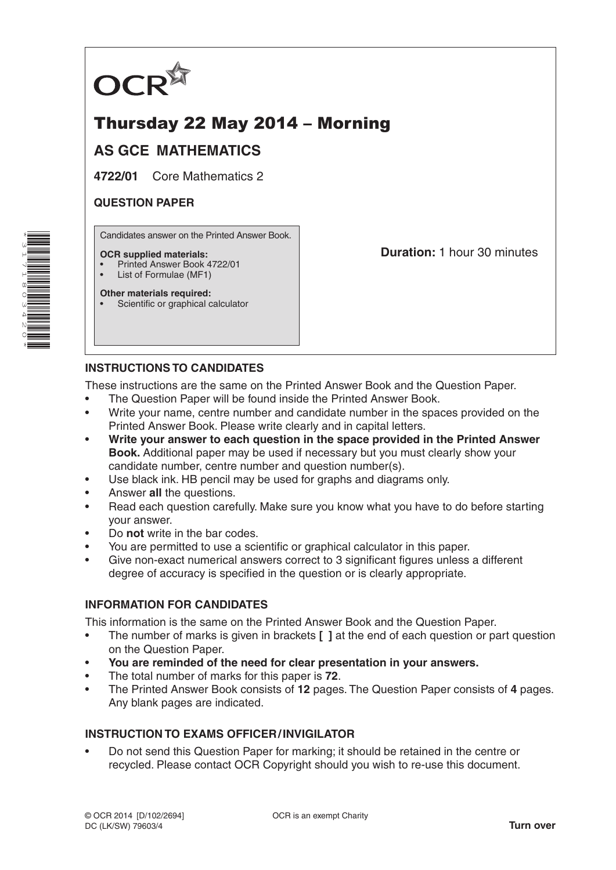

# Thursday 22 May 2014 – Morning

## **AS GCE MATHEMATICS**

**4722/01** Core Mathematics 2

#### **QUESTION PAPER**

Candidates answer on the Printed Answer Book.

#### **OCR supplied materials:**

- Printed Answer Book 4722/01
- List of Formulae (MF1)

**Other materials required:** Scientific or graphical calculator **Duration:** 1 hour 30 minutes

### **INSTRUCTIONS TO CANDIDATES**

These instructions are the same on the Printed Answer Book and the Question Paper.

- The Question Paper will be found inside the Printed Answer Book.
- Write your name, centre number and candidate number in the spaces provided on the Printed Answer Book. Please write clearly and in capital letters.
- **Write your answer to each question in the space provided in the Printed Answer Book.** Additional paper may be used if necessary but you must clearly show your candidate number, centre number and question number(s).
- Use black ink. HB pencil may be used for graphs and diagrams only.
- Answer **all** the questions.
- Read each question carefully. Make sure you know what you have to do before starting your answer.
- Do **not** write in the bar codes.
- You are permitted to use a scientific or graphical calculator in this paper.
- Give non-exact numerical answers correct to 3 significant figures unless a different degree of accuracy is specified in the question or is clearly appropriate.

#### **INFORMATION FOR CANDIDATES**

This information is the same on the Printed Answer Book and the Question Paper.

- The number of marks is given in brackets **[ ]** at the end of each question or part question on the Question Paper.
- **You are reminded of the need for clear presentation in your answers.**
- The total number of marks for this paper is **72**.
- The Printed Answer Book consists of **12** pages. The Question Paper consists of **4** pages. Any blank pages are indicated.

#### **INSTRUCTION TO EXAMS OFFICER/INVIGILATOR**

• Do not send this Question Paper for marking; it should be retained in the centre or recycled. Please contact OCR Copyright should you wish to re-use this document.

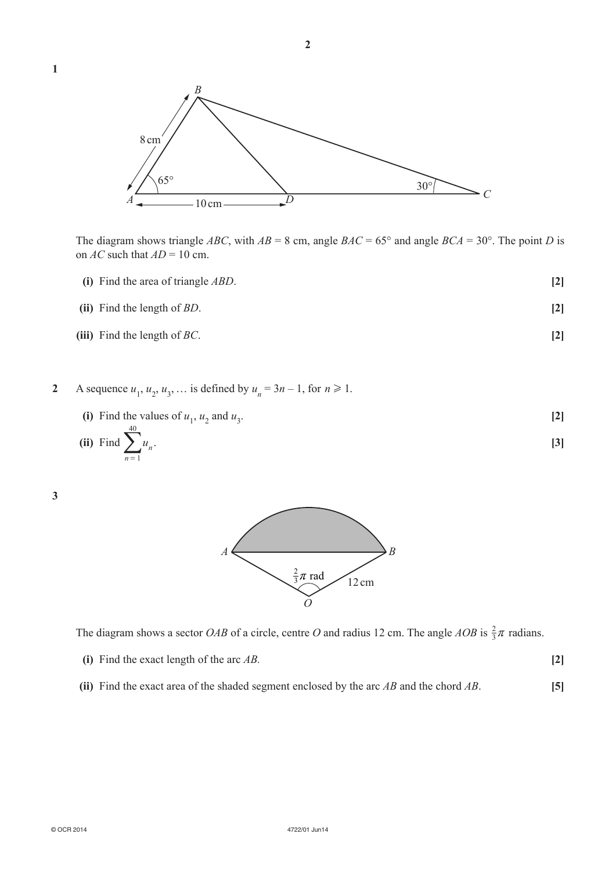

The diagram shows triangle *ABC*, with  $AB = 8$  cm, angle  $BAC = 65^{\circ}$  and angle  $BCA = 30^{\circ}$ . The point *D* is on  $AC$  such that  $AD = 10$  cm.

- **(i)** Find the area of triangle *ABD*. **[2]**
- **(ii)** Find the length of *BD*. **[2]**
- **(iii)** Find the length of *BC*. **[2]**
- **2** A sequence  $u_1, u_2, u_3, ...$  is defined by  $u_n = 3n 1$ , for  $n \ge 1$ .
	- (i) Find the values of  $u_1$ ,  $u_2$  and  $u_3$ . **[2]** 40

(ii) Find 
$$
\sum_{n=1}^{\infty} u_n.
$$
 [3]

**3**



The diagram shows a sector *OAB* of a circle, centre *O* and radius 12 cm. The angle *AOB* is  $\frac{2}{3}\pi$  radians.

| (i) Find the exact length of the arc $AB$ . |  |
|---------------------------------------------|--|
|---------------------------------------------|--|

**(ii)** Find the exact area of the shaded segment enclosed by the arc *AB* and the chord *AB*. **[5]**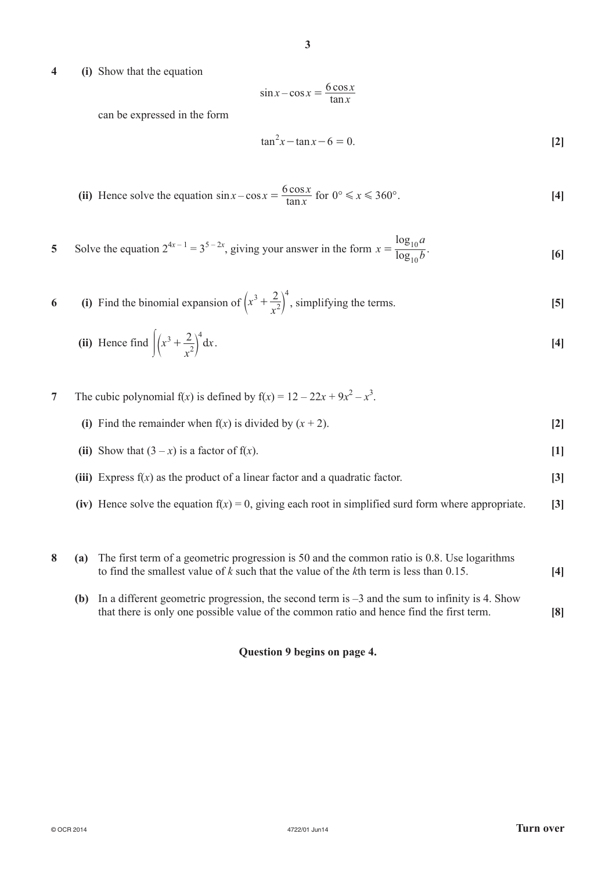**4 (i)** Show that the equation

$$
\sin x - \cos x = \frac{6 \cos x}{\tan x}
$$

can be expressed in the form

$$
\tan^2 x - \tan x - 6 = 0. \tag{2}
$$

(ii) Hence solve the equation 
$$
\sin x - \cos x = \frac{6 \cos x}{\tan x}
$$
 for  $0^{\circ} \le x \le 360^{\circ}$ . [4]

5 Solve the equation 
$$
2^{4x-1} = 3^{5-2x}
$$
, giving your answer in the form  $x = \frac{\log_{10} a}{\log_{10} b}$ . [6]

6 (i) Find the binomial expansion of 
$$
\left(x^3 + \frac{2}{x^2}\right)^4
$$
, simplifying the terms. [5]

(ii) Hence find 
$$
\int (x^3 + \frac{2}{x^2})^4 dx.
$$
 [4]

**7** The cubic polynomial  $f(x)$  is defined by  $f(x) = 12 - 22x + 9x^2 - x^3$ .

(ii) Show that  $(3 - x)$  is a factor of  $f(x)$ . [1]

**(iii)** Express f(*x*) as the product of a linear factor and a quadratic factor. **[3]**

- **(iv)** Hence solve the equation  $f(x) = 0$ , giving each root in simplified surd form where appropriate. **[3]**
- **8 (a)** The first term of a geometric progression is 50 and the common ratio is 0.8. Use logarithms to find the smallest value of *k* such that the value of the *k*th term is less than 0.15. **[4]**
	- **(b)** In a different geometric progression, the second term is –3 and the sum to infinity is 4. Show that there is only one possible value of the common ratio and hence find the first term. **[8]**

#### **Question 9 begins on page 4.**